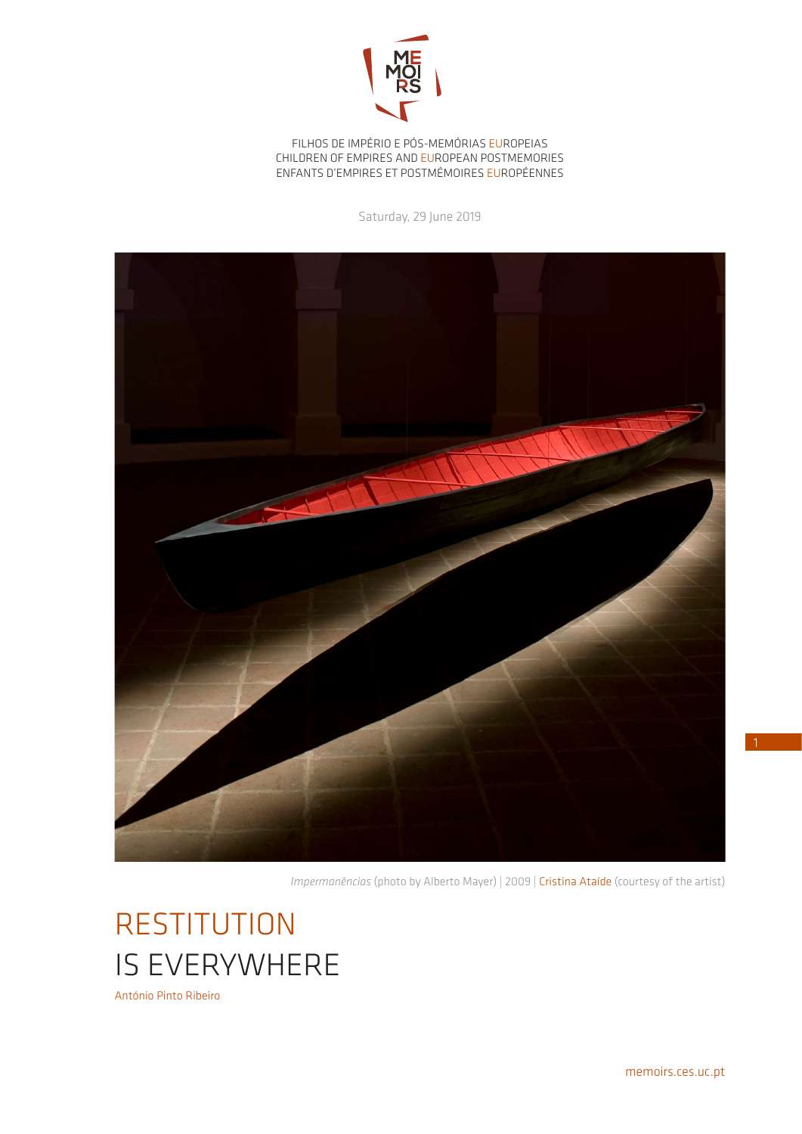

FILHOS DE IMPÉRIO E PÓS-MEMÓRIAS EUROPEIAS CHILDREN OF EMPIRES AND EUROPEAN POSTMEMORIES ENFANTS D'EMPIRES ET POSTMÉMOIRES EUROPÉENNES

Saturday, 29 June 2019



*Impermanências* (photo by Alberto Mayer) | 2009 | Cristina Ataíde (courtesy of the artist)

**RESTITUTION** IS EVERYWHERE António Pinto Ribeiro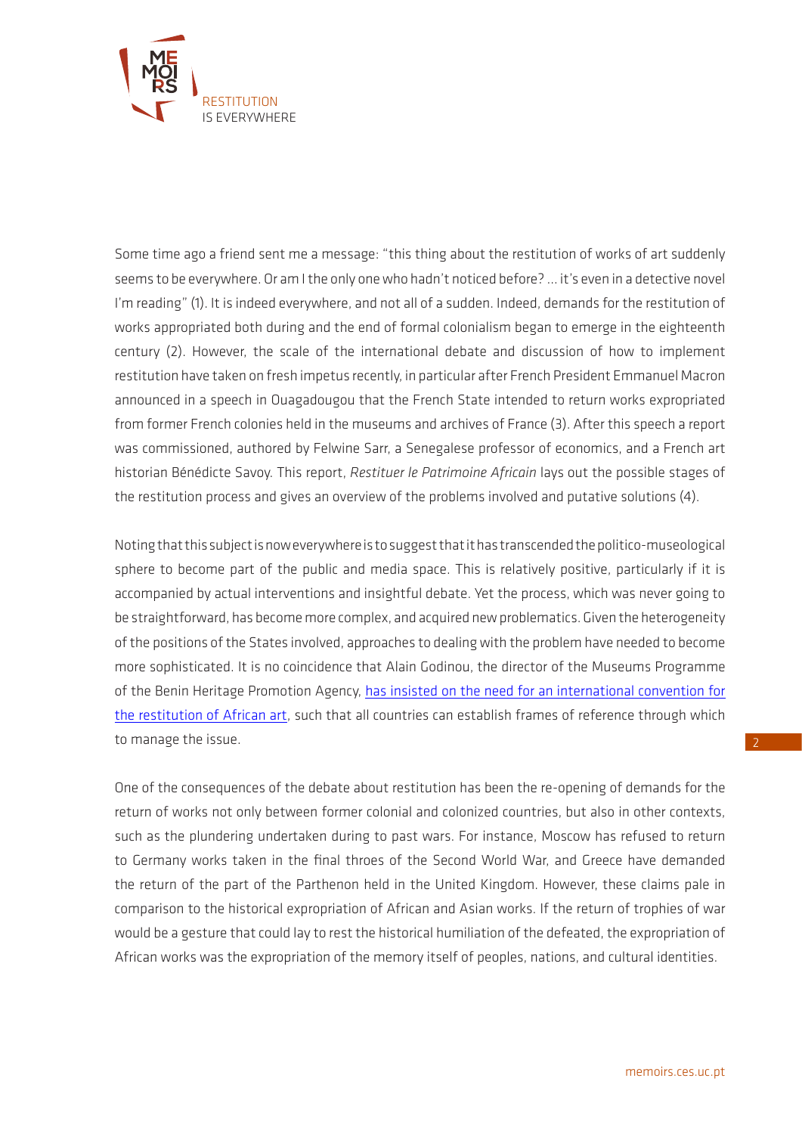

Some time ago a friend sent me a message: "this thing about the restitution of works of art suddenly seems to be everywhere. Or am I the only one who hadn't noticed before? ... it's even in a detective novel I'm reading" (1). It is indeed everywhere, and not all of a sudden. Indeed, demands for the restitution of works appropriated both during and the end of formal colonialism began to emerge in the eighteenth century (2). However, the scale of the international debate and discussion of how to implement restitution have taken on fresh impetus recently, in particular after French President Emmanuel Macron announced in a speech in Ouagadougou that the French State intended to return works expropriated from former French colonies held in the museums and archives of France (3). After this speech a report was commissioned, authored by Felwine Sarr, a Senegalese professor of economics, and a French art historian Bénédicte Savoy. This report, *Restituer le Patrimoine Africain* lays out the possible stages of the restitution process and gives an overview of the problems involved and putative solutions (4).

Noting that this subject is now everywhere is to suggest that it has transcended the politico-museological sphere to become part of the public and media space. This is relatively positive, particularly if it is accompanied by actual interventions and insightful debate. Yet the process, which was never going to be straightforward, has become more complex, and acquired new problematics. Given the heterogeneity of the positions of the States involved, approaches to dealing with the problem have needed to become more sophisticated. It is no coincidence that Alain Godinou, the director of the Museums Programme of the Benin Heritage Promotion Agency, [has insisted on the need for an international convention for](https://www.justiceinfo.net/fr/les-debats-justiceinfo/grands-entretiens/40574-alain-godonou-il-faut-une-convention-internationale-pour-restituer-art-africain.html?fbclid=IwAR37v7-Jkanzj05b3MfQss4c7SmJ1B_w9JAYgRg1sUl5shh-2udaH-OZ3Bw)  [the restitution of African art](https://www.justiceinfo.net/fr/les-debats-justiceinfo/grands-entretiens/40574-alain-godonou-il-faut-une-convention-internationale-pour-restituer-art-africain.html?fbclid=IwAR37v7-Jkanzj05b3MfQss4c7SmJ1B_w9JAYgRg1sUl5shh-2udaH-OZ3Bw), such that all countries can establish frames of reference through which to manage the issue.

One of the consequences of the debate about restitution has been the re-opening of demands for the return of works not only between former colonial and colonized countries, but also in other contexts, such as the plundering undertaken during to past wars. For instance, Moscow has refused to return to Germany works taken in the final throes of the Second World War, and Greece have demanded the return of the part of the Parthenon held in the United Kingdom. However, these claims pale in comparison to the historical expropriation of African and Asian works. If the return of trophies of war would be a gesture that could lay to rest the historical humiliation of the defeated, the expropriation of African works was the expropriation of the memory itself of peoples, nations, and cultural identities.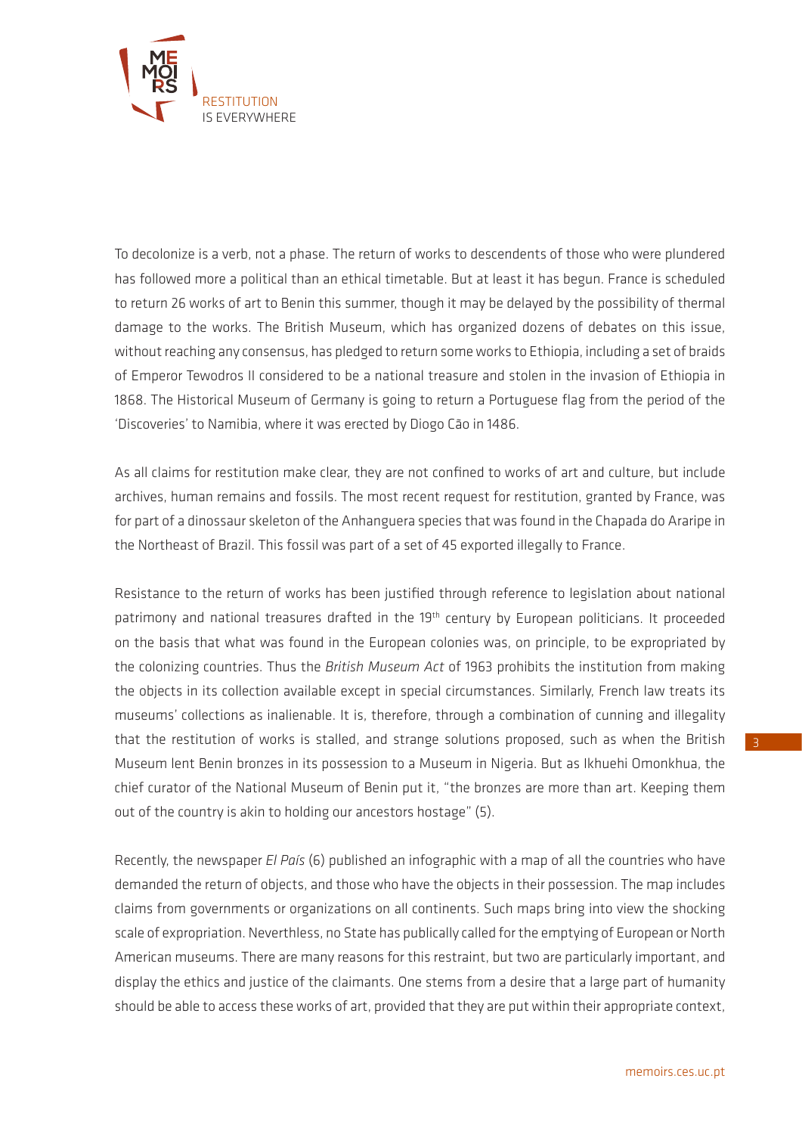

To decolonize is a verb, not a phase. The return of works to descendents of those who were plundered has followed more a political than an ethical timetable. But at least it has begun. France is scheduled to return 26 works of art to Benin this summer, though it may be delayed by the possibility of thermal damage to the works. The British Museum, which has organized dozens of debates on this issue, without reaching any consensus, has pledged to return some works to Ethiopia, including a set of braids of Emperor Tewodros II considered to be a national treasure and stolen in the invasion of Ethiopia in 1868. The Historical Museum of Germany is going to return a Portuguese flag from the period of the 'Discoveries' to Namibia, where it was erected by Diogo Cão in 1486.

As all claims for restitution make clear, they are not confined to works of art and culture, but include archives, human remains and fossils. The most recent request for restitution, granted by France, was for part of a dinossaur skeleton of the Anhanguera species that was found in the Chapada do Araripe in the Northeast of Brazil. This fossil was part of a set of 45 exported illegally to France.

Resistance to the return of works has been justified through reference to legislation about national patrimony and national treasures drafted in the 19<sup>th</sup> century by European politicians. It proceeded on the basis that what was found in the European colonies was, on principle, to be expropriated by the colonizing countries. Thus the *British Museum Act* of 1963 prohibits the institution from making the objects in its collection available except in special circumstances. Similarly, French law treats its museums' collections as inalienable. It is, therefore, through a combination of cunning and illegality that the restitution of works is stalled, and strange solutions proposed, such as when the British Museum lent Benin bronzes in its possession to a Museum in Nigeria. But as Ikhuehi Omonkhua, the chief curator of the National Museum of Benin put it, "the bronzes are more than art. Keeping them out of the country is akin to holding our ancestors hostage" (5).

Recently, the newspaper *El País* (6) published an infographic with a map of all the countries who have demanded the return of objects, and those who have the objects in their possession. The map includes claims from governments or organizations on all continents. Such maps bring into view the shocking scale of expropriation. Neverthless, no State has publically called for the emptying of European or North American museums. There are many reasons for this restraint, but two are particularly important, and display the ethics and justice of the claimants. One stems from a desire that a large part of humanity should be able to access these works of art, provided that they are put within their appropriate context,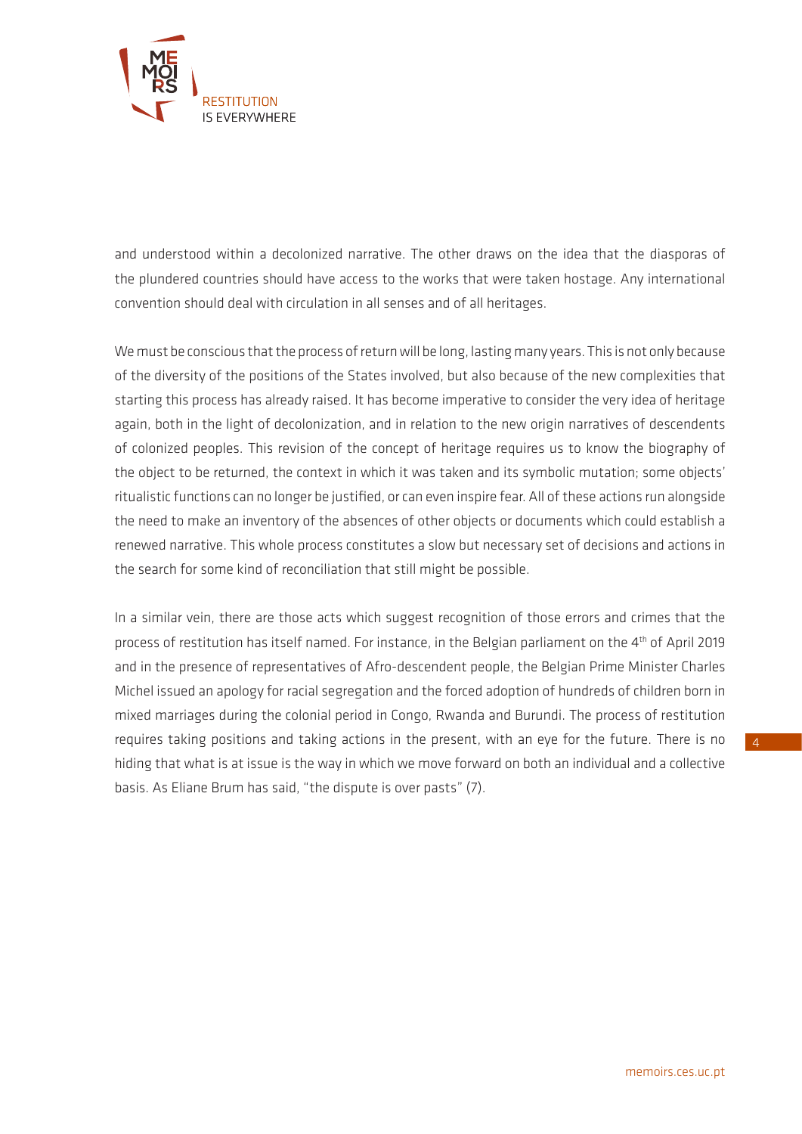

and understood within a decolonized narrative. The other draws on the idea that the diasporas of the plundered countries should have access to the works that were taken hostage. Any international convention should deal with circulation in all senses and of all heritages.

We must be conscious that the process of return will be long, lasting many years. This is not only because of the diversity of the positions of the States involved, but also because of the new complexities that starting this process has already raised. It has become imperative to consider the very idea of heritage again, both in the light of decolonization, and in relation to the new origin narratives of descendents of colonized peoples. This revision of the concept of heritage requires us to know the biography of the object to be returned, the context in which it was taken and its symbolic mutation; some objects' ritualistic functions can no longer be justified, or can even inspire fear. All of these actions run alongside the need to make an inventory of the absences of other objects or documents which could establish a renewed narrative. This whole process constitutes a slow but necessary set of decisions and actions in the search for some kind of reconciliation that still might be possible.

In a similar vein, there are those acts which suggest recognition of those errors and crimes that the process of restitution has itself named. For instance, in the Belgian parliament on the 4<sup>th</sup> of April 2019 and in the presence of representatives of Afro-descendent people, the Belgian Prime Minister Charles Michel issued an apology for racial segregation and the forced adoption of hundreds of children born in mixed marriages during the colonial period in Congo, Rwanda and Burundi. The process of restitution requires taking positions and taking actions in the present, with an eye for the future. There is no hiding that what is at issue is the way in which we move forward on both an individual and a collective basis. As Eliane Brum has said, "the dispute is over pasts" (7).